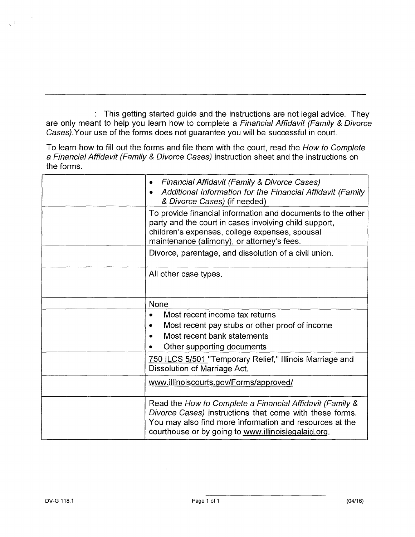: This getting started guide and the instructions are not legal advice. They are only meant to help you learn how to complete a Financial Affidavit (Family & Divorce Cases).Your use of the forms does not guarantee you will be successful in court.

To learn how to fill out the forms and file them with the court, read the How to Complete a Financial Affidavit (Family & Divorce Cases) instruction sheet and the instructions on the forms.

| Financial Affidavit (Family & Divorce Cases)<br>Additional Information for the Financial Affidavit (Family<br>& Divorce Cases) (if needed)                                                                                            |
|---------------------------------------------------------------------------------------------------------------------------------------------------------------------------------------------------------------------------------------|
| To provide financial information and documents to the other<br>party and the court in cases involving child support,<br>children's expenses, college expenses, spousal<br>maintenance (alimony), or attorney's fees.                  |
| Divorce, parentage, and dissolution of a civil union.                                                                                                                                                                                 |
| All other case types.                                                                                                                                                                                                                 |
| <b>None</b>                                                                                                                                                                                                                           |
| Most recent income tax returns<br>Most recent pay stubs or other proof of income<br>Most recent bank statements<br>Other supporting documents                                                                                         |
| 750 ILCS 5/501 "Temporary Relief," Illinois Marriage and<br>Dissolution of Marriage Act.                                                                                                                                              |
| www.illinoiscourts.gov/Forms/approved/                                                                                                                                                                                                |
| Read the How to Complete a Financial Affidavit (Family &<br>Divorce Cases) instructions that come with these forms.<br>You may also find more information and resources at the<br>courthouse or by going to www.illinoislegalaid.org. |

 $\frac{1}{2} \sum_{i=1}^{n}$ 

 $\bar{z}$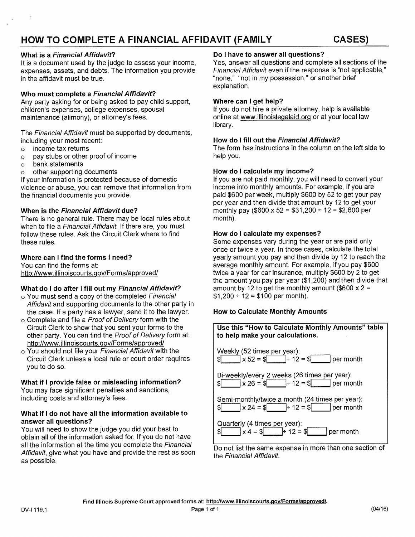## **What is a Financial Affidavit?**

It is a document used by the judge to assess your income, expenses, assets, and debts. The information you provide in the affidavit must be true.

## **Who must complete a Financial Affidavit?**

Any party asking for or being asked to pay child support, children's expenses, college expenses, spousal maintenance (alimony), or attorney's fees.

The Financial Affidavit must be supported by documents, including your most recent:

- o income tax returns
- o pay stubs or other proof of income
- o bank statements
- o other supporting documents

If your information is protected because of domestic violence or abuse, you can remove that information from the financial documents you provide.

## **When is the Financial Affidavit due?**

There is no general rule. There may be local rules about when to file a Financial Affidavit. If there are, you must follow these rules. Ask the Circuit Clerk where to find these rules.

## **Where can I find the forms I need?**

You can find the forms at: http://www.illinoiscourts.gov/Forms/approved/

## **What do I do after I fill out my Financial Affidavit?**

- o You must send a copy of the completed Financial Affidavit and supporting documents to the other party in the case. If a party has a lawyer, send it to the lawyer.
- o Complete and file a Proof of Delivery form with the Circuit Clerk to show that you sent your forms to the other party. You can find the Proof of Delivery form at: http://www.illinoiscourts.gov/Forms/approved/
- o You should not file your Financial Affidavit with the Circuit Clerk unless a local rule or court order requires you to do so.

## **What if I provide false or misleading information?**

You may face significant penalties and sanctions, including costs and attorney's fees.

## **What if I do not have all the information available to answer all questions?**

You will need to show the judge you did your best to obtain all of the information asked for. If you do not have all the information at the time you complete the Financial Affidavit, give what you have and provide the rest as soon as possible.

## **Do I have to answer all questions?**

Yes, answer all questions and complete all sections of the Financial Affidavit even if the response is "not applicable," "none," "not in my possession," or another brief explanation.

## **Where can I get help?**

If you do not hire a private attorney, help is available online at www.illinoislegalaid.orq or at your local law library.

## **How do I fill out the Financial Affidavit?**

The form has instructions in the column on the left side to help you.

## **How do I calculate my income?**

If you are not paid monthly, you will need to convert your income into monthly amounts. For example, if you are paid \$600 per week, multiply \$600 by 52 to get your pay per year and then divide that amount by 12 to get your monthly pay (\$600 x 52 = \$31,200  $\div$  12 = \$2,600 per month).

## **How do I calculate my expenses?**

Some expenses vary during the year or are paid only once or twice a year. In those cases, calculate the total yearly amount you pay and then divide by 12 to reach the average monthly amount. For example, if you pay \$600 twice a year for car insurance, multiply \$600 by 2 to get the amount you pay per year (\$1,200) and then divide that amount by 12 to get the monthly amount (\$600  $\times$  2 =  $$1,200 \div 12 = $100$  per month).

## **How to Calculate Monthly Amounts**



Do not list the same expense in more than one section of the Financial Affidavit.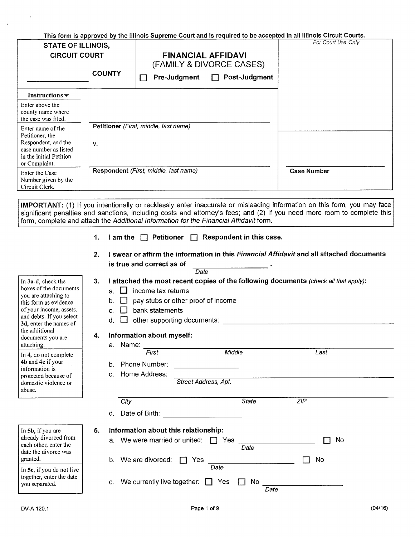| This form is approved by the Illinois Supreme Court and is required to be accepted in all Illinois Circuit Courts. |               |                                                                                                        |                    |  |  |
|--------------------------------------------------------------------------------------------------------------------|---------------|--------------------------------------------------------------------------------------------------------|--------------------|--|--|
| <b>STATE OF ILLINOIS,</b><br><b>CIRCUIT COURT</b>                                                                  | <b>COUNTY</b> | <b>FINANCIAL AFFIDAVI</b><br>(FAMILY & DIVORCE CASES)<br>Pre-Judgment<br>Post-Judgment<br>$\mathbf{1}$ | For Court Use Only |  |  |
| Instructions $\blacktriangleright$                                                                                 |               |                                                                                                        |                    |  |  |
| Enter above the<br>county name where<br>the case was filed.<br>Enter name of the                                   |               | Petitioner (First, middle, last name)                                                                  |                    |  |  |
| Petitioner, the<br>Respondent, and the<br>case number as listed<br>in the initial Petition<br>or Complaint.        | V.            |                                                                                                        |                    |  |  |
| Enter the Case<br>Number given by the<br>Circuit Clerk.                                                            |               | Respondent (First, middle, last name)                                                                  | <b>Case Number</b> |  |  |

**IMPORTANT:** (1) If you intentionally or recklessly enter inaccurate or misleading information on this form, you may face significant penalties and sanctions, including costs and attorney's fees; and (2) If you need more room to complete this form, complete and attach the Additional Information for the Financial Affidavit form.

- **1.** I am the  $\Box$  Petitioner  $\Box$  Respondent in this case.
- $\frac{1}{\sqrt{2\pi}}$ **2. I swear or affirm the information in this** Financial Affidavit **and all attached documents is true and correct as of**

|                                                                                                                                                                                                                                                                                                                                                     |                                                                          |                                                                                                                                                                                                                | Date                                                                                      |                   |            |    |
|-----------------------------------------------------------------------------------------------------------------------------------------------------------------------------------------------------------------------------------------------------------------------------------------------------------------------------------------------------|--------------------------------------------------------------------------|----------------------------------------------------------------------------------------------------------------------------------------------------------------------------------------------------------------|-------------------------------------------------------------------------------------------|-------------------|------------|----|
| In 3a-d, check the<br>boxes of the documents<br>you are attaching to<br>this form as evidence<br>of your income, assets,<br>and debts. If you select<br>3d, enter the names of<br>the additional<br>documents you are<br>attaching.<br>In 4, do not complete<br>4b and 4c if your<br>information is<br>protected because of<br>domestic violence or | 3.<br>a.<br>b <sub>1</sub><br>$\mathbf{C}$<br>d.<br>4.<br>a.<br>b.<br>C. | I attached the most recent copies of the following documents (check all that apply):<br>income tax returns<br>bank statements<br>Information about myself:<br>Name:<br>First<br>Phone Number:<br>Home Address: | pay stubs or other proof of income<br>other supporting documents:<br>Street Address, Apt. | Middle            | Last       |    |
| abuse.                                                                                                                                                                                                                                                                                                                                              | d.                                                                       | City<br>Date of Birth:                                                                                                                                                                                         |                                                                                           | <b>State</b>      | ZIP        |    |
| In 5b, if you are<br>already divorced from<br>each other, enter the<br>date the divorce was<br>granted.                                                                                                                                                                                                                                             | 5.<br>а.                                                                 | Information about this relationship:<br>We were married or united:                                                                                                                                             | $\mathbf{1}$                                                                              | Yes<br>Date       |            | No |
| In 5c, if you do not live<br>together, enter the date<br>you separated.                                                                                                                                                                                                                                                                             | b.<br>C.                                                                 | We are divorced:<br>We currently live together:                                                                                                                                                                | Yes<br>$\mathbf{I}$                                                                       | Date<br>Yes<br>No | No<br>Date |    |

 $\langle \rangle$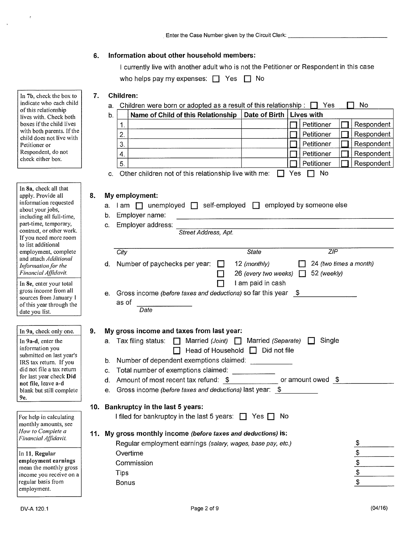## **6. Information about other household members:**

| I currently live with another adult who is not the Petitioner or Respondent in this case |
|------------------------------------------------------------------------------------------|
| who helps pay my expenses: $\Box$ Yes $\Box$ No                                          |

## **7. Children:**

a. Children were born or adopted as a result of this relationship:  $\Box$  Yes  $\Box$  No

| b. |                | Name of Child of this Relationship | Date of Birth | Lives with |            |
|----|----------------|------------------------------------|---------------|------------|------------|
|    |                |                                    |               | Petitioner | Respondent |
|    | っ              |                                    |               | Petitioner | Respondent |
|    | 3              |                                    |               | Petitioner | Respondent |
|    | `4.            |                                    |               | Petitioner | Respondent |
|    | 5 <sub>1</sub> |                                    |               | Petitioner | Respondent |

c. Other children not of this relationship live with me:  $\Box$  Yes  $\Box$  No

# **8. My employment:**

| ο.<br><b>IVIY EMPLOYMENT.</b><br>I am □ unemployed □ self-employed □ employed by someone else<br>a. |    |                                                                                      |                                                                       |  |  |  |  |  |
|-----------------------------------------------------------------------------------------------------|----|--------------------------------------------------------------------------------------|-----------------------------------------------------------------------|--|--|--|--|--|
|                                                                                                     | b. | Employer name:                                                                       |                                                                       |  |  |  |  |  |
|                                                                                                     | C. | Employer address:<br>Street Address, Apt.                                            |                                                                       |  |  |  |  |  |
|                                                                                                     |    |                                                                                      |                                                                       |  |  |  |  |  |
|                                                                                                     |    | $\overline{ZIP}$<br><b>State</b><br>City                                             |                                                                       |  |  |  |  |  |
|                                                                                                     | d. | Number of paychecks per year:<br>12 (monthly)<br>24 (two times a month)              |                                                                       |  |  |  |  |  |
|                                                                                                     |    | 26 (every two weeks)<br>52 (weekly)<br>$\mathbf{1}$                                  |                                                                       |  |  |  |  |  |
|                                                                                                     |    | I am paid in cash                                                                    |                                                                       |  |  |  |  |  |
|                                                                                                     | е. | Gross income (before taxes and deductions) so far this year \$                       |                                                                       |  |  |  |  |  |
|                                                                                                     |    | as of<br>Date                                                                        |                                                                       |  |  |  |  |  |
|                                                                                                     |    |                                                                                      |                                                                       |  |  |  |  |  |
| 9.                                                                                                  |    | My gross income and taxes from last year:                                            |                                                                       |  |  |  |  |  |
|                                                                                                     | a. | Tax filing status: $\Box$ Married (Joint) $\Box$ Married (Separate) $\Box$<br>Single |                                                                       |  |  |  |  |  |
|                                                                                                     |    | Head of Household $\Box$ Did not file                                                |                                                                       |  |  |  |  |  |
|                                                                                                     | b. | Number of dependent exemptions claimed:                                              |                                                                       |  |  |  |  |  |
|                                                                                                     | C. | Total number of exemptions claimed:                                                  |                                                                       |  |  |  |  |  |
|                                                                                                     | d. | or amount owed $$$<br>Amount of most recent tax refund: \$                           |                                                                       |  |  |  |  |  |
|                                                                                                     | e. | Gross income (before taxes and deductions) last year: \$                             |                                                                       |  |  |  |  |  |
|                                                                                                     |    |                                                                                      |                                                                       |  |  |  |  |  |
|                                                                                                     |    | 10. Bankruptcy in the last 5 years:                                                  |                                                                       |  |  |  |  |  |
|                                                                                                     |    | I filed for bankruptcy in the last 5 years: $\Box$ Yes $\Box$<br>No                  |                                                                       |  |  |  |  |  |
| 11.                                                                                                 |    | My gross monthly income (before taxes and deductions) is:                            |                                                                       |  |  |  |  |  |
|                                                                                                     |    | Regular employment earnings (salary, wages, base pay, etc.)                          |                                                                       |  |  |  |  |  |
|                                                                                                     |    | Overtime                                                                             |                                                                       |  |  |  |  |  |
|                                                                                                     |    | Commission                                                                           | $\frac{1}{2}$ $\frac{1}{2}$ $\frac{1}{2}$ $\frac{1}{2}$ $\frac{1}{2}$ |  |  |  |  |  |
|                                                                                                     |    | <b>Tips</b>                                                                          |                                                                       |  |  |  |  |  |
|                                                                                                     |    |                                                                                      |                                                                       |  |  |  |  |  |

In 7b, check the box to indicate who each child of this relationship lives with. Check both boxes if the child lives with both parents. If the child does not live with Petitioner or Respondent, do not check either box.

In 8a, check all that apply. Provide all information requested about your jobs, including all full-time, part-time, temporary, contract, or other work. If you need more room to list additional employment, complete and attach *Additional Information for the Financial Affidavit.* 

In 8e, enter your total gross income from all sources from January 1 of this year through the date you list.

In 9a, check only one.

In 9a-d, enter the information you submitted on last year's IRS tax return. If you did not file a tax return for last year check Did not file, leave a-d blank but still complete 9e.

For help in calculating monthly amounts, see How *to Complete a Financial Affidavit.* 

In 11. Regular employment earnings mean the monthly gross income you receive on a regular basis from employment.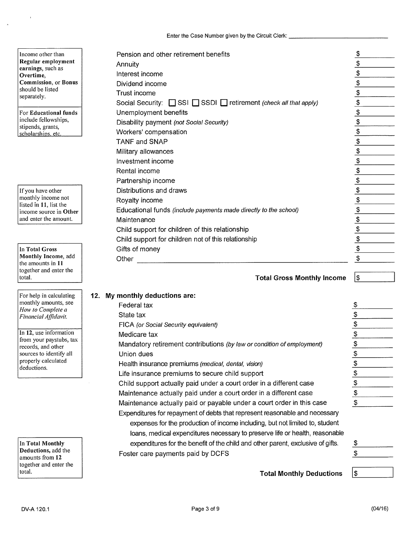| Pension and other retirement benefits                            | $\frac{3}{2}$               |
|------------------------------------------------------------------|-----------------------------|
| Annuity                                                          | $\frac{1}{2}$               |
| Interest income                                                  |                             |
| Dividend income                                                  |                             |
| Trust income                                                     |                             |
| Social Security: SSI SSDI retirement (check all that apply)      | $\frac{1}{2}$               |
| Unemployment benefits                                            |                             |
| Disability payment (not Social Security)                         | $\frac{\text{I}}{\text{I}}$ |
| Workers' compensation                                            | $\overline{\mathcal{L}}$    |
| TANF and SNAP                                                    |                             |
| Military allowances                                              | $\frac{\$}{\$}$             |
| Investment income                                                | $\frac{1}{2}$               |
| Rental income                                                    | $\frac{1}{2}$               |
| Partnership income                                               | $\frac{1}{2}$               |
| Distributions and draws                                          | $\frac{1}{2}$               |
| Royalty income                                                   | $\frac{1}{2}$               |
| Educational funds (include payments made directly to the school) | $\frac{1}{2}$               |
| Maintenance                                                      | $\frac{1}{2}$               |
| Child support for children of this relationship                  | $\frac{1}{2}$               |
| Child support for children not of this relationship              |                             |
| Gifts of money                                                   | $\frac{16}{16}$             |
| Other                                                            | \$                          |

## **Total Gross Monthly Income**

| 12. | My monthly deductions are:                                                                                                                                                                                                                  |                          |
|-----|---------------------------------------------------------------------------------------------------------------------------------------------------------------------------------------------------------------------------------------------|--------------------------|
|     | Federal tax                                                                                                                                                                                                                                 | \$                       |
|     | State tax                                                                                                                                                                                                                                   | $\frac{3}{2}$            |
|     | FICA (or Social Security equivalent)                                                                                                                                                                                                        | $\frac{1}{2}$            |
|     | Medicare tax                                                                                                                                                                                                                                | $\frac{3}{2}$            |
|     | Mandatory retirement contributions (by law or condition of employment)                                                                                                                                                                      | $\overline{\mathcal{F}}$ |
|     | Union dues                                                                                                                                                                                                                                  | $\overline{\mathcal{F}}$ |
|     | Health insurance premiums (medical, dental, vision)                                                                                                                                                                                         | $\overline{\mathcal{F}}$ |
|     | Life insurance premiums to secure child support                                                                                                                                                                                             | $\frac{1}{2}$            |
|     | Child support actually paid under a court order in a different case                                                                                                                                                                         | $\frac{1}{2}$            |
|     | Maintenance actually paid under a court order in a different case                                                                                                                                                                           | $\frac{1}{2}$            |
|     | Maintenance actually paid or payable under a court order in this case                                                                                                                                                                       | \$                       |
|     | Expenditures for repayment of debts that represent reasonable and necessary<br>expenses for the production of income including, but not limited to, student<br>loans, medical expenditures necessary to preserve life or health, reasonable |                          |
|     | expenditures for the benefit of the child and other parent, exclusive of gifts.                                                                                                                                                             | \$                       |
|     | Foster care payments paid by DCFS                                                                                                                                                                                                           | \$                       |
|     | <b>Total Monthly Deductions</b>                                                                                                                                                                                                             | \$                       |

Income other than Regular employment earnings, such as Overtime, Commission. or Bonus should be listed separately.

For Educational funds include fellowships, stipends, grants, scholarships, etc.

If you have other monthly income not listed in 11, list the income source in Other and enter the amount.

In Total Gross Monthly Income, add the amounts in 11 together and enter the total.

For help in calculating monthly amounts, see *How to Complete a Financial Affidavit.* 

In 12, use information from your paystubs, tax records, and other sources to identify all properly calculated deductions.

In Total Monthly Deductions, add the amounts from 12 together and enter the total.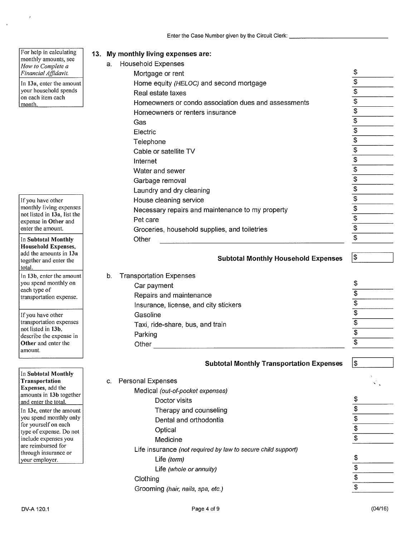**13. My monthly living expenses are:** 

For help in calculating monthly amounts, see *How to Complete a Financial Affidavit.* 

 $\bar{\mathcal{A}}$ 

In 13a, enter the amount your household spends on each item each month.

If you have other monthly living expenses not listed in 13a, list the expense in **Other** and enter the amount.

In **Subtotal Monthly Household Expenses,**  add the amounts in **13a**  together and enter the total.

In **13b,** enter the amount you spend monthly on each type of transportation expense.

If you have other transportation expenses not listed in **13b,**  describe the expense in **Other** and enter the amount.

In **Subtotal Monthly Transportation Expenses,** add the amounts in **13b** together and enter the total. In **13c,** enter the amount you spend monthly only for yourself on each type of expense. Do not include expenses you are reimbursed for through insurance or your employer.

| a. | <b>Household Expenses</b>                                    |                                              |
|----|--------------------------------------------------------------|----------------------------------------------|
|    | Mortgage or rent                                             | \$                                           |
|    | Home equity (HELOC) and second mortgage                      | \$                                           |
|    | Real estate taxes                                            | $\overline{\$}$                              |
|    | Homeowners or condo association dues and assessments         | $\overline{\$}$                              |
|    | Homeowners or renters insurance                              | $\overline{\mathfrak{s}}$                    |
|    | Gas                                                          | $\overline{\mathcal{E}}$                     |
|    | Electric                                                     | $\overline{\mathfrak{s}}$                    |
|    | Telephone                                                    | $\overline{\mathfrak{s}}$                    |
|    | Cable or satellite TV                                        | $\overline{\$}$                              |
|    | Internet                                                     | \$                                           |
|    | Water and sewer                                              | $\overline{\mathcal{E}}$                     |
|    | Garbage removal                                              | $\overline{\$}$                              |
|    | Laundry and dry cleaning                                     | $\overline{\$}$                              |
|    | House cleaning service                                       | $\overline{\$}$                              |
|    | Necessary repairs and maintenance to my property             | \$                                           |
|    | Pet care                                                     | \$                                           |
|    | Groceries, household supplies, and toiletries                | $\overline{\$}$                              |
|    | Other                                                        | $\overline{\mathbf{S}}$                      |
|    |                                                              |                                              |
|    | <b>Subtotal Monthly Household Expenses</b>                   | $\mathfrak{P}$                               |
|    |                                                              |                                              |
| b. | <b>Transportation Expenses</b>                               |                                              |
|    | Car payment                                                  | \$                                           |
|    | Repairs and maintenance                                      | $\overline{\$}$                              |
|    | Insurance, license, and city stickers                        | \$                                           |
|    | Gasoline                                                     | $\overline{\mathfrak{s}}$                    |
|    | Taxi, ride-share, bus, and train                             | $\overline{\$}$                              |
|    | Parking                                                      | $\overline{\$}$                              |
|    | Other                                                        | $\overline{\$}$                              |
|    |                                                              |                                              |
|    | <b>Subtotal Monthly Transportation Expenses</b>              | $\boxed{3}$                                  |
|    |                                                              |                                              |
| C. | <b>Personal Expenses</b>                                     |                                              |
|    | Medical (out-of-pocket expenses)                             |                                              |
|    | Doctor visits                                                | \$                                           |
|    | Therapy and counseling                                       | $\overline{\$}$<br>$\overline{\mathfrak{s}}$ |
|    | Dental and orthodontia                                       |                                              |
|    | Optical                                                      | \$<br>$\overline{\mathfrak{s}}$              |
|    | Medicine                                                     |                                              |
|    | Life insurance (not required by law to secure child support) |                                              |
|    | Life (term)                                                  | \$                                           |
|    | Life (whole or annuity)                                      |                                              |
|    | Clothing                                                     | $\frac{3}{9}$                                |
|    | Grooming (hair, nails, spa, etc.)                            |                                              |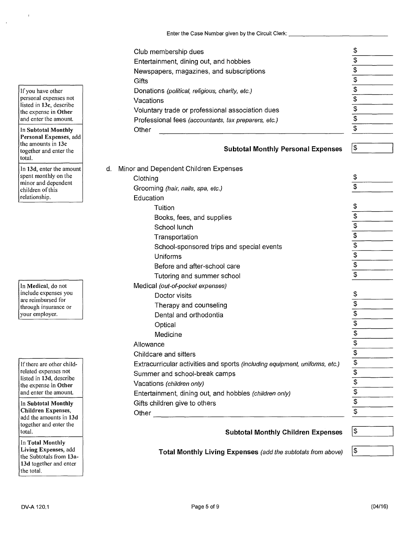Enter the Case Number given by the Circuit Clerk: \_\_\_\_\_\_\_\_\_\_\_\_\_\_\_\_\_\_\_\_\_\_\_\_\_\_\_\_\_\_

|    | Club membership dues                                                        | \$                        |
|----|-----------------------------------------------------------------------------|---------------------------|
|    | Entertainment, dining out, and hobbies                                      | $\overline{\mathcal{E}}$  |
|    | Newspapers, magazines, and subscriptions                                    | $\overline{\mathfrak{s}}$ |
|    | Gifts                                                                       | $\overline{\mathfrak{s}}$ |
|    | Donations (political, religious, charity, etc.)                             | $\overline{\mathbf{e}}$   |
|    | Vacations                                                                   | $\overline{\mathfrak{s}}$ |
|    | Voluntary trade or professional association dues                            | $\frac{1}{3}$             |
|    | Professional fees (accountants, tax preparers, etc.)                        |                           |
|    | Other                                                                       | $\overline{\$}$           |
|    |                                                                             |                           |
|    | <b>Subtotal Monthly Personal Expenses</b>                                   | $\mathfrak{P}$            |
| d. | Minor and Dependent Children Expenses                                       |                           |
|    | Clothing                                                                    | \$                        |
|    | Grooming (hair, nails, spa, etc.)                                           | $\overline{\$}$           |
|    | Education                                                                   |                           |
|    | Tuition                                                                     | \$                        |
|    | Books, fees, and supplies                                                   | \$                        |
|    | School lunch                                                                | $\overline{\$}$           |
|    | Transportation                                                              | $\overline{\mathcal{S}}$  |
|    | School-sponsored trips and special events                                   | $\frac{3}{9}$             |
|    | Uniforms                                                                    |                           |
|    | Before and after-school care                                                |                           |
|    | Tutoring and summer school                                                  | $\overline{\$}$           |
|    | Medical (out-of-pocket expenses)                                            |                           |
|    | Doctor visits                                                               | \$                        |
|    | Therapy and counseling                                                      | $\frac{1}{2}$             |
|    | Dental and orthodontia                                                      |                           |
|    | Optical                                                                     | $\overline{\$}$           |
|    | Medicine                                                                    | $\overline{\mathcal{L}}$  |
|    | Allowance                                                                   | $\overline{\mathfrak{s}}$ |
|    | Childcare and sitters                                                       |                           |
|    | Extracurricular activities and sports (including equipment, uniforms, etc.) | $\frac{1}{2}$             |
|    | Summer and school-break camps                                               |                           |
|    | Vacations (children only)                                                   |                           |
|    | Entertainment, dining out, and hobbies (children only)                      | $\frac{2}{3}$             |
|    | Gifts children give to others                                               |                           |
|    | Other<br>the control of the control of the control of the                   | \$                        |
|    |                                                                             | $\frac{1}{2}$             |
|    | <b>Subtotal Monthly Children Expenses</b>                                   |                           |

**Total Monthly Living Expenses** (add the subtotals from above)

If you have other personal expenses not listed in **13c,** describe the expense in **Other**  and enter the amount.

In **Subtotal Monthly Personal Expenses,** add the amounts in **13c**  together and enter the total.

**In 13d,** enter the amount spent monthly on the minor and dependent children of this relationship.

In **Medical,** do not include expenses you are reimbursed for through insurance or your employer.

If there are other childrelated expenses not listed in **13d,** describe the expense in **Other**  and enter the amount.

**In Subtotal Monthly Children Expenses,**  add the amounts in **13d**  together and enter the total.

In **Total Monthly Living Expenses,** add the Subtotals from **13a-13d** together and enter the total.

|\$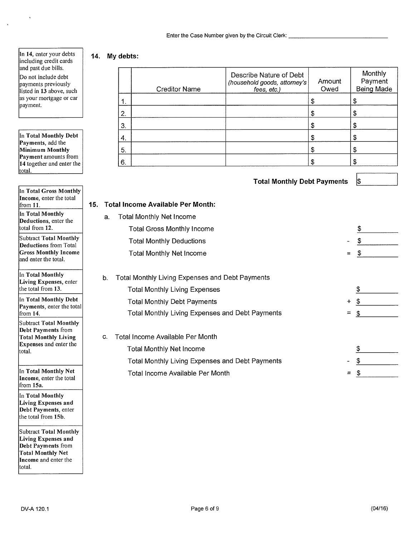Enter the **Case** Number given by the Circuit Clerk:

#### In 14, enter your debts including credit cards and past due bills.

ï

 $\hat{\mathbf{r}}$ 

Do not include debt payments previously listed in 13 above, such as your mortgage or car payment.

In **Total Monthly Debt Payments,** add the **Minimum Monthly Payment** amounts from **14** together and enter the total.

| In Total Gross Monthly<br>Income, enter the total<br>from 11.                                                                            | 15. |    | <b>Total Income Availa</b>                                       |
|------------------------------------------------------------------------------------------------------------------------------------------|-----|----|------------------------------------------------------------------|
| In Total Monthly<br>Deductions, enter the<br>total from 12.                                                                              |     | а. | <b>Total Monthly N</b><br><b>Total Gross</b>                     |
| <b>Subtract Total Monthly</b><br><b>Deductions</b> from Total<br><b>Gross Monthly Income</b><br>and enter the total.                     |     |    | <b>Total Monthl</b><br><b>Total Monthl</b>                       |
| In Total Monthly<br>Living Expenses, enter<br>the total from 13.                                                                         |     | b. | <b>Total Monthly Liv</b><br><b>Total Monthly</b>                 |
| In Total Monthly Debt<br>Payments, enter the total<br>from $14$ .                                                                        |     |    | <b>Total Monthly</b><br>Total Monthl <sup>,</sup>                |
| <b>Subtract Total Monthly</b><br><b>Debt Payments from</b><br><b>Total Monthly Living</b><br><b>Expenses</b> and enter the<br>total.     |     | С. | <b>Total Income Ava</b><br>Total Monthly<br><b>Total Monthly</b> |
| In Total Monthly Net<br>Income, enter the total<br>from 15a.                                                                             |     |    | <b>Total Income</b>                                              |
| In Total Monthly<br>Living Expenses and<br>Debt Payments, enter<br>the total from 15b.                                                   |     |    |                                                                  |
| <b>Subtract Total Monthly</b><br>Living Expenses and<br>Debt Payments from<br><b>Total Monthly Net</b><br>Income and enter the<br>total. |     |    |                                                                  |

# **14. My debts:**

|     |    |    | <b>Creditor Name</b>                            | Describe Nature of Debt<br>(household goods, attorney's<br>fees, etc.) | Amount<br>Owed | Monthly<br>Payment<br><b>Being Made</b> |
|-----|----|----|-------------------------------------------------|------------------------------------------------------------------------|----------------|-----------------------------------------|
|     |    | 1. |                                                 |                                                                        | \$             | \$                                      |
|     |    | 2. |                                                 |                                                                        | \$             | \$                                      |
|     |    | 3. |                                                 |                                                                        | \$             | \$                                      |
|     |    | 4. |                                                 |                                                                        | \$             | \$                                      |
|     |    | 5. |                                                 |                                                                        | \$             | \$                                      |
|     |    | 6. |                                                 |                                                                        | \$             | \$                                      |
|     |    |    |                                                 | <b>Total Monthly Debt Payments</b>                                     |                | \$                                      |
| 15. |    |    | <b>Total Income Available Per Month:</b>        |                                                                        |                |                                         |
|     | a. |    | <b>Total Monthly Net Income</b>                 |                                                                        |                |                                         |
|     |    |    | <b>Total Gross Monthly Income</b>               |                                                                        |                | \$                                      |
|     |    |    | <b>Total Monthly Deductions</b>                 |                                                                        |                | \$                                      |
|     |    |    | <b>Total Monthly Net Income</b>                 |                                                                        | $=$            | \$                                      |
|     | b. |    | Total Monthly Living Expenses and Debt Payments |                                                                        |                |                                         |
|     |    |    | <b>Total Monthly Living Expenses</b>            |                                                                        |                | \$                                      |
|     |    |    | <b>Total Monthly Debt Payments</b>              |                                                                        | $\div$         | \$                                      |
|     |    |    | Total Monthly Living Expenses and Debt Payments |                                                                        | $=$            | \$                                      |
|     | C. |    | Total Income Available Per Month                |                                                                        |                |                                         |
|     |    |    | <b>Total Monthly Net Income</b>                 |                                                                        |                | \$                                      |
|     |    |    | Total Monthly Living Expenses and Debt Payments |                                                                        |                | \$                                      |

Available Per Month  $=$  \$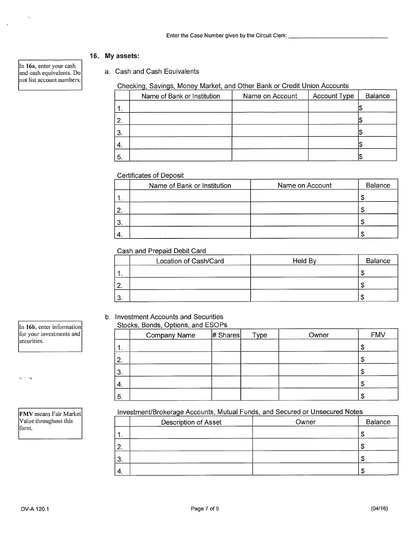## 16. My assets:

a. Cash and Cash Equivalents

## Checking, Savings, Money Market, and Other Bank or Credit Union Accounts

|     | Name of Bank or Institution | Name on Account | Account Type | Balance |
|-----|-----------------------------|-----------------|--------------|---------|
| 1.  |                             |                 |              |         |
| 2.  |                             |                 |              |         |
| 3.  |                             |                 |              |         |
| 4.  |                             |                 |              |         |
| -5. |                             |                 |              |         |

## Certificates of Deposit

|     | Name of Bank or Institution | Name on Account | Balance |
|-----|-----------------------------|-----------------|---------|
| . . |                             |                 |         |
| 2.  |                             |                 |         |
| 3.  |                             |                 |         |
| `4. |                             |                 |         |

## Cash and Prepaid Debit Card

|          | Location of Cash/Card | Held By | Balance |
|----------|-----------------------|---------|---------|
| . .      |                       |         |         |
| <u>.</u> |                       |         |         |
| u.       |                       |         |         |

## b. Investment Accounts and Securities

## Stocks, Bonds, Options, and ESOPs

|    | Company Name | # Shares | Type | Owner | <b>FMV</b> |
|----|--------------|----------|------|-------|------------|
| 1. |              |          |      |       |            |
| 2. |              |          |      |       | Φ          |
| 3. |              |          |      |       | æ          |
| 4. |              |          |      |       |            |
| 5. |              |          |      |       |            |

## Investment/Brokerage Accounts, Mutual Funds, and Secured or Unsecured Notes

|           | Description of Asset | Owner | Balance |
|-----------|----------------------|-------|---------|
| . .       |                      |       |         |
|           |                      |       |         |
| ົ<br>۰. ت |                      |       |         |
| $-4.$     |                      |       |         |

In 16a, enter your cash and cash equivalents. Do not list account numbers.

In 16b, enter information for your investments and securities.

s is is

FMV means Fair Market Value throughout this form.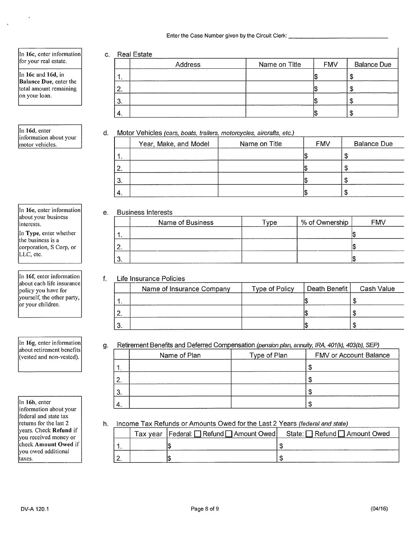Enter the Case Number given by the Circuit Clerk:

In 16c, enter information for your real estate.

In 16c and 16d, in **Balance Due, enter the** total amount remaining on your loan.

In 16d, enter information about your motor vehicles.

In 16e, enter information about your business interests.

In Type, enter whether the business is a corporation, S Corp, or LLC, etc.

In 16f, enter information about each life insurance policy you have for yourself, the other party, or your children

In 16g, enter information about retirement benefits (vested and non-vested).

In 16h, enter information about your federal and state tax returns for the last 2 years. Check Refund if you received money or check Amount Owed if you owed additional taxes.

|     | Address | Name on Title | <b>FMV</b> | <b>Balance Due</b> |
|-----|---------|---------------|------------|--------------------|
| . . |         |               |            | จ                  |
| 2.  |         |               |            | S                  |
| 3.  |         |               |            | S                  |
|     |         |               |            | £.                 |

## d. Motor Vehicles (cars, boats, trailers, motorcycles, aircrafts, etc.)

|          | Year, Make, and Model | Name on Title | <b>FMV</b> | <b>Balance Due</b> |
|----------|-----------------------|---------------|------------|--------------------|
| . .      |                       |               |            |                    |
| <u>.</u> |                       |               |            | - 12               |
| 3.       |                       |               |            |                    |
| ┭.       |                       |               |            |                    |

## e. Business Interests

|         | Name of Business | $T$ ype | % of Ownership | <b>FMV</b> |
|---------|------------------|---------|----------------|------------|
| и       |                  |         |                |            |
| 2       |                  |         |                |            |
| ◠<br>J. |                  |         |                |            |

## f. Life Insurance Policies

| Name of Insurance Company | Type of Policy | Death Benefit | Cash Value |
|---------------------------|----------------|---------------|------------|
|                           |                |               |            |
|                           |                |               |            |
|                           |                |               |            |

#### Retirement Benefits and Deferred Compensation (pension plan, annuity, IRA, 401(k), 403(b), SEP) q.

|               | $\ldots$ . The contract contract of the contract of the contract of the contract $\mu$ and $\mu$ and $\mu$ and $\mu$ and $\mu$ |              |                               |
|---------------|--------------------------------------------------------------------------------------------------------------------------------|--------------|-------------------------------|
|               | Name of Plan                                                                                                                   | Type of Plan | <b>FMV or Account Balance</b> |
|               |                                                                                                                                |              |                               |
| $^{\circ}$ 2. |                                                                                                                                |              |                               |
| 3.            |                                                                                                                                |              |                               |
| 4.            |                                                                                                                                |              |                               |

h. Income Tax Refunds or Amounts Owed for the Last 2 Years (federal and state)

|  | Tax year   Federal: Onefund Omeont Owed State: Onefund One Amount Owed |
|--|------------------------------------------------------------------------|
|  |                                                                        |
|  |                                                                        |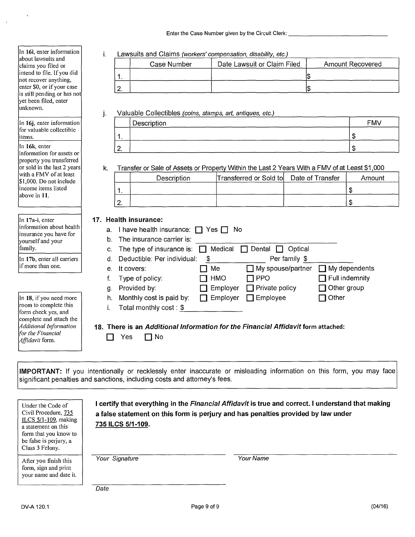i. Lawsuits and Claims (workers' compensation, disability, etc.)

|          | Case Number | Date Lawsuit or Claim Filed | <b>Amount Recovered</b> |
|----------|-------------|-----------------------------|-------------------------|
|          |             |                             |                         |
| <b>.</b> |             |                             |                         |

#### Valuable Collectibles (coins, stamps, art, antiques, etc.) j.

|               | Description | <b>FMV</b> |
|---------------|-------------|------------|
| . .           |             |            |
| $\sim$<br>. . |             |            |

#### k. Transfer or Sale of Assets or PropertyWithin the Last 2 Years With a FMV of at Least \$1,000

|     | Description | Transferred or Sold to Date of Transfer | Amount |
|-----|-------------|-----------------------------------------|--------|
| . . |             |                                         |        |
|     |             |                                         |        |

## **17. Health insurance:**

|    | a. I have health insurance: $\Box$ Yes $\Box$ No |                 |                          |                       |  |  |
|----|--------------------------------------------------|-----------------|--------------------------|-----------------------|--|--|
| b. | The insurance carrier is:                        |                 |                          |                       |  |  |
|    | c. The type of insurance is:                     | Medical         | Dental<br>Optical        |                       |  |  |
| d. | Deductible: Per individual:                      | \$              | Per family \$            |                       |  |  |
| е. | It covers:                                       | Me              | $\Box$ My spouse/partner | $\Box$ My dependents  |  |  |
|    | Type of policy:                                  | <b>HMO</b>      | $\sqcap$ PPO             | $\top$ Full indemnity |  |  |
| g. | Provided by:                                     | Employer        | $\Box$ Private policy    | $\Box$ Other group    |  |  |
| h. | Monthly cost is paid by:                         | $\Box$ Employer | $\Box$ Employee          | 7 Other               |  |  |
|    | Total monthly cost: $$$                          |                 |                          |                       |  |  |
|    |                                                  |                 |                          |                       |  |  |

#### **18. There is an** Additional Information for the Financial Affidavit form attached:

| Yes | П No |
|-----|------|
|-----|------|

**IMPORTANT:** If you intentionally or recklessly enter inaccurate or misleading information on this form, you may face significant penalties and sanctions, including costs and attorney's fees.

| Under the Code of<br>Civil Procedure, 735<br>ILCS $5/1-109$ , making<br>a statement on this<br>form that you know to<br>be false is perjury, a<br>Class 3 Felony. | 735 ILCS 5/1-109. | I certify that everything in the Financial Affidavit is true and correct. I understand that making<br>a false statement on this form is perjury and has penalties provided by law under |
|-------------------------------------------------------------------------------------------------------------------------------------------------------------------|-------------------|-----------------------------------------------------------------------------------------------------------------------------------------------------------------------------------------|
| After you finish this<br>form, sign and print<br>your name and date it.                                                                                           | Your Signature    | Your Name                                                                                                                                                                               |
|                                                                                                                                                                   | Date              |                                                                                                                                                                                         |

|                       | not recover anything,<br>enter \$0, or if your case |
|-----------------------|-----------------------------------------------------|
|                       | is still pending or has not                         |
| yet been filed, enter |                                                     |
| unknown.              |                                                     |
|                       |                                                     |
|                       | anter information                                   |

In 16j, enter information for valuable collectible items.

In 16i, enter information about lawsuits and claims you filed or intend to file. If you did

In 16k, enter information for assets or property you transferred or sold in the last 2 years with a FMV of at least \$1.000. Do not include income items listed above in 11.

In 17a-i, enter information about health insurance you have for yourself and your family.

In 17b, enter all carriers if more than one.

In 18, if you need more room to complete this form check yes, and complete and attach the *Additional Information for the Financial Affidavit* form.